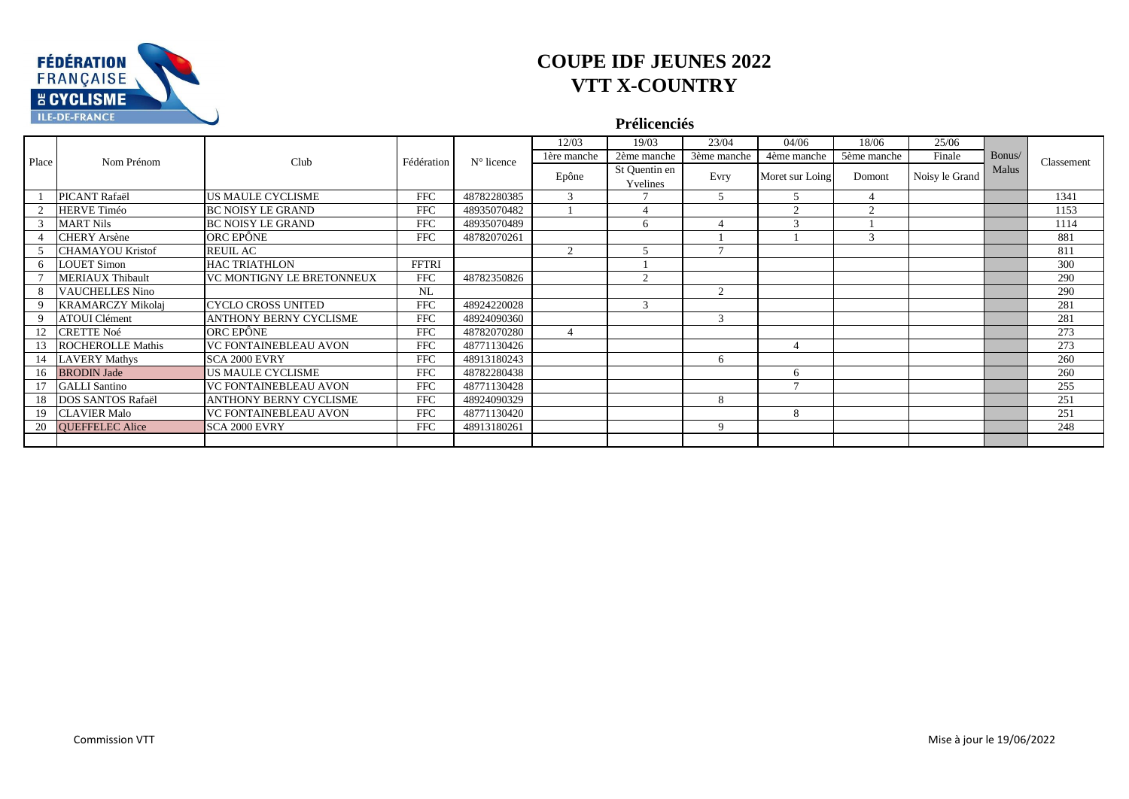

#### **Prélicenciés**

|       |                          |                              |              |                     | 12/03          | 19/03                     | 23/04          | 04/06                   | 18/06         | 25/06          |        |            |
|-------|--------------------------|------------------------------|--------------|---------------------|----------------|---------------------------|----------------|-------------------------|---------------|----------------|--------|------------|
| Place | Nom Prénom               | Club                         | Fédération   | $N^{\circ}$ licence | 1ère manche    | 2ème manche               | 3ème manche    | 4ème manche             | 5ème manche   | Finale         | Bonus/ | Classement |
|       |                          |                              |              |                     | Epône          | St Quentin en<br>Yvelines | Evry           | Moret sur Loing         | Domont        | Noisy le Grand | Malus  |            |
|       | PICANT Rafaël            | US MAULE CYCLISME            | <b>FFC</b>   | 48782280385         | 3              |                           | 5              | 5                       |               |                |        | 1341       |
|       | <b>HERVE Timéo</b>       | <b>BC NOISY LE GRAND</b>     | <b>FFC</b>   | 48935070482         |                |                           |                | $\sim$                  | $\sim$        |                |        | 1153       |
|       | <b>MART Nils</b>         | <b>BC NOISY LE GRAND</b>     | <b>FFC</b>   | 48935070489         |                | 6                         |                | $\overline{\mathbf{a}}$ |               |                |        | 1114       |
|       | <b>CHERY</b> Arsène      | ORC EPÔNE                    | <b>FFC</b>   | 48782070261         |                |                           |                |                         | $\mathcal{R}$ |                |        | 881        |
|       | <b>CHAMAYOU Kristof</b>  | <b>REUIL AC</b>              |              |                     | 2              |                           | $\mathcal{L}$  |                         |               |                |        | 811        |
|       | <b>LOUET Simon</b>       | <b>HAC TRIATHLON</b>         | <b>FFTRI</b> |                     |                |                           |                |                         |               |                |        | 300        |
|       | <b>MERIAUX Thibault</b>  | VC MONTIGNY LE BRETONNEUX    | <b>FFC</b>   | 48782350826         |                | $\mathcal{D}$             |                |                         |               |                |        | 290        |
|       | 8 VAUCHELLES Nino        |                              | NL           |                     |                |                           | $\overline{2}$ |                         |               |                |        | 290        |
|       | <b>KRAMARCZY Mikolaj</b> | CYCLO CROSS UNITED           | <b>FFC</b>   | 48924220028         |                | $\mathcal{F}$             |                |                         |               |                |        | 281        |
|       | <b>ATOUI Clément</b>     | ANTHONY BERNY CYCLISME       | <b>FFC</b>   | 48924090360         |                |                           | 3              |                         |               |                |        | 281        |
|       | 12 CRETTE Noé            | ORC EPÔNE                    | <b>FFC</b>   | 48782070280         | $\overline{4}$ |                           |                |                         |               |                |        | 273        |
|       | 13 ROCHEROLLE Mathis     | <b>VC FONTAINEBLEAU AVON</b> | <b>FFC</b>   | 48771130426         |                |                           |                |                         |               |                |        | 273        |
|       | 14 LAVERY Mathys         | SCA 2000 EVRY                | <b>FFC</b>   | 48913180243         |                |                           | 6              |                         |               |                |        | 260        |
|       | 16 BRODIN Jade           | US MAULE CYCLISME            | <b>FFC</b>   | 48782280438         |                |                           |                | 6                       |               |                |        | 260        |
|       | <b>GALLI</b> Santino     | <b>VC FONTAINEBLEAU AVON</b> | <b>FFC</b>   | 48771130428         |                |                           |                | $\overline{ }$          |               |                |        | 255        |
|       | 18 DOS SANTOS Rafaël     | ANTHONY BERNY CYCLISME       | <b>FFC</b>   | 48924090329         |                |                           | 8              |                         |               |                |        | 251        |
|       | 19 CLAVIER Malo          | VC FONTAINEBLEAU AVON        | <b>FFC</b>   | 48771130420         |                |                           |                | 8                       |               |                |        | 251        |
|       | 20 QUEFFELEC Alice       | SCA 2000 EVRY                | <b>FFC</b>   | 48913180261         |                |                           | 9              |                         |               |                |        | 248        |
|       |                          |                              |              |                     |                |                           |                |                         |               |                |        |            |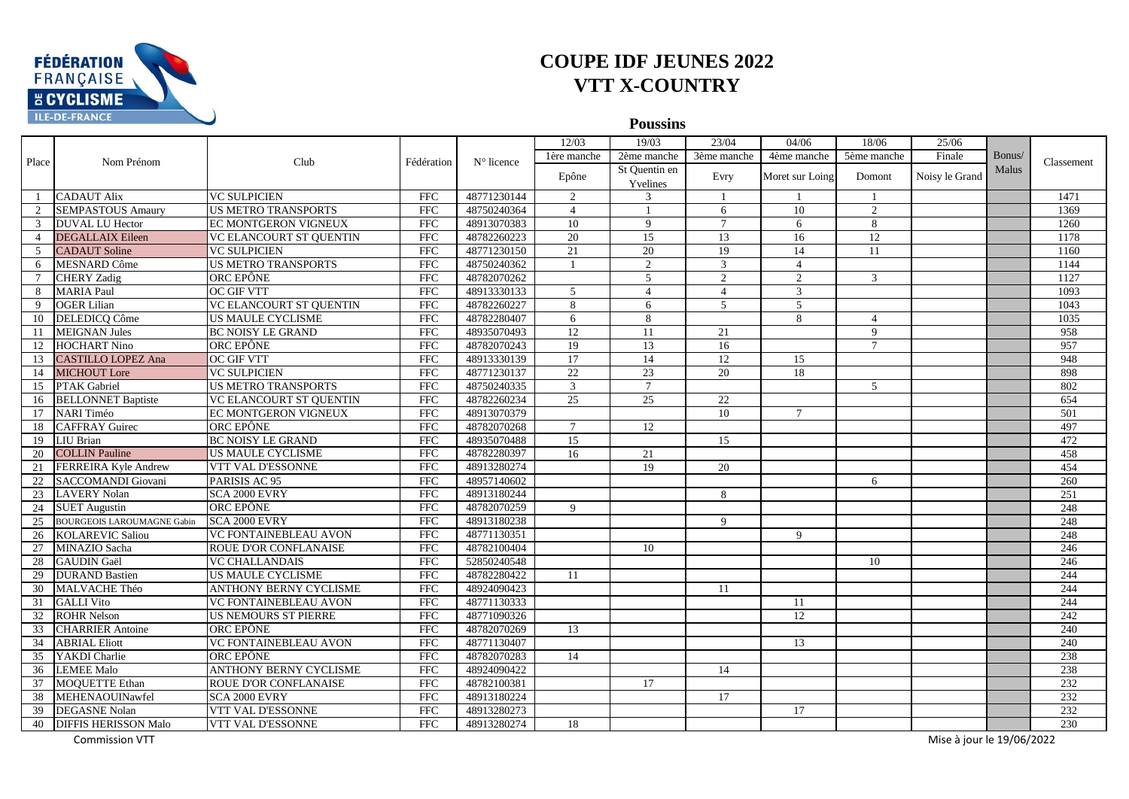

**Poussins**

|                 |                                   |                                |                         |              | 12/03          | 19/03           | 23/04          | 04/06                    | 18/06           | 25/06                     |        |            |
|-----------------|-----------------------------------|--------------------------------|-------------------------|--------------|----------------|-----------------|----------------|--------------------------|-----------------|---------------------------|--------|------------|
|                 |                                   |                                |                         |              | 1ère manche    | 2ème manche     | 3ème manche    | 4ème manche              | 5ème manche     | Finale                    | Bonus/ |            |
| Place           | Nom Prénom                        | Club                           | Fédération              | $N°$ licence |                | St Ouentin en   |                |                          |                 |                           | Malus  | Classement |
|                 |                                   |                                |                         |              | Epône          | Yvelines        | Evry           | Moret sur Loing          | Domont          | Noisy le Grand            |        |            |
|                 | <b>CADAUT Alix</b>                | <b>VC SULPICIEN</b>            | <b>FFC</b>              | 48771230144  | 2              | $\mathcal{R}$   |                |                          |                 |                           |        | 1471       |
|                 | <b>SEMPASTOUS Amaury</b>          | <b>US METRO TRANSPORTS</b>     | $\overline{\text{FFC}}$ | 48750240364  | $\overline{4}$ |                 | 6              | 10                       | $\overline{2}$  |                           |        | 1369       |
|                 | <b>DUVAL LU Hector</b>            | EC MONTGERON VIGNEUX           | <b>FFC</b>              | 48913070383  | 10             | $\mathbf{Q}$    | $\tau$         | 6                        | 8               |                           |        | 1260       |
| $\overline{4}$  | <b>DEGALLAIX Eileen</b>           | <b>VC ELANCOURT ST OUENTIN</b> | $\overline{\text{FFC}}$ | 48782260223  | 20             | 15              | 13             | 16                       | $\overline{12}$ |                           |        | 1178       |
| 5               | <b>CADAUT Soline</b>              | <b>VC SULPICIEN</b>            | FFC                     | 48771230150  | 21             | 20              | 19             | 14                       | 11              |                           |        | 1160       |
| 6               | <b>MESNARD Côme</b>               | <b>US METRO TRANSPORTS</b>     | <b>FFC</b>              | 48750240362  | -1             | 2               | 3              | $\overline{\mathcal{A}}$ |                 |                           |        | 1144       |
| $\tau$          | <b>CHERY</b> Zadig                | ORC EPÔNE                      | FFC                     | 48782070262  |                | $\overline{5}$  | $\overline{2}$ | $\overline{2}$           | 3               |                           |        | 1127       |
|                 | <b>MARIA Paul</b>                 | <b>OC GIF VTT</b>              | <b>FFC</b>              | 48913330133  | 5              | $\overline{4}$  | $\overline{4}$ | 3                        |                 |                           |        | 1093       |
| 9               | <b>OGER Lilian</b>                | <b>VC ELANCOURT ST QUENTIN</b> | <b>FFC</b>              | 48782260227  | 8              | 6               | $\mathcal{F}$  | $\overline{5}$           |                 |                           |        | 1043       |
| 10              | DELEDICQ Côme                     | <b>US MAULE CYCLISME</b>       | FFC                     | 48782280407  | 6              | 8               |                | 8                        | $\overline{4}$  |                           |        | 1035       |
| 11              | <b>MEIGNAN Jules</b>              | <b>BC NOISY LE GRAND</b>       | <b>FFC</b>              | 48935070493  | 12             | 11              | 21             |                          | $\mathbf{Q}$    |                           |        | 958        |
| 12              | <b>HOCHART Nino</b>               | ORC EPÔNE                      | <b>FFC</b>              | 48782070243  | 19             | 13              | 16             |                          | $\tau$          |                           |        | 957        |
| 13              | <b>CASTILLO LOPEZ Ana</b>         | <b>OC GIF VTT</b>              | <b>FFC</b>              | 48913330139  | 17             | 14              | 12             | 15                       |                 |                           |        | 948        |
| 14              | <b>MICHOUT</b> Lore               | <b>VC SULPICIEN</b>            | <b>FFC</b>              | 48771230137  | 22             | $\overline{23}$ | 20             | 18                       |                 |                           |        | 898        |
| 15              | <b>PTAK Gabriel</b>               | <b>US METRO TRANSPORTS</b>     | <b>FFC</b>              | 48750240335  | 3              | $\tau$          |                |                          | 5               |                           |        | 802        |
| 16              | <b>BELLONNET Baptiste</b>         | <b>VC ELANCOURT ST QUENTIN</b> | $\overline{\text{FFC}}$ | 48782260234  | 25             | $\overline{25}$ | 22             |                          |                 |                           |        | 654        |
| 17              | NARI Timéo                        | <b>EC MONTGERON VIGNEUX</b>    | <b>FFC</b>              | 48913070379  |                |                 | 10             | $\tau$                   |                 |                           |        | 501        |
| 18              | <b>CAFFRAY Guirec</b>             | ORC EPÔNE                      | FFC                     | 48782070268  | $\tau$         | 12              |                |                          |                 |                           |        | 497        |
| 19              | LIU Brian                         | <b>BC NOISY LE GRAND</b>       | FFC                     | 48935070488  | 15             |                 | 15             |                          |                 |                           |        | 472        |
| 20              | <b>COLLIN Pauline</b>             | <b>US MAULE CYCLISME</b>       | $\overline{\text{FFC}}$ | 48782280397  | 16             | 21              |                |                          |                 |                           |        | 458        |
| 21              | <b>FERREIRA Kyle Andrew</b>       | VTT VAL D'ESSONNE              | <b>FFC</b>              | 48913280274  |                | 19              | 20             |                          |                 |                           |        | 454        |
| 22              | <b>SACCOMANDI</b> Giovani         | PARISIS AC 95                  | <b>FFC</b>              | 48957140602  |                |                 |                |                          | 6               |                           |        | 260        |
|                 | 23 LAVERY Nolan                   | SCA 2000 EVRY                  | $\overline{\text{FFC}}$ | 48913180244  |                |                 | 8              |                          |                 |                           |        | 251        |
| 24              | <b>SUET Augustin</b>              | ORC EPÔNE                      | <b>FFC</b>              | 48782070259  | 9              |                 |                |                          |                 |                           |        | 248        |
| 25              | <b>BOURGEOIS LAROUMAGNE Gabin</b> | SCA 2000 EVRY                  | $\overline{\text{FFC}}$ | 48913180238  |                |                 | 9              |                          |                 |                           |        | 248        |
| 26              | <b>KOLAREVIC Saliou</b>           | <b>VC FONTAINEBLEAU AVON</b>   | FFC                     | 48771130351  |                |                 |                | $\mathbf{Q}$             |                 |                           |        | 248        |
| 27              | <b>MINAZIO</b> Sacha              | <b>ROUE D'OR CONFLANAISE</b>   | <b>FFC</b>              | 48782100404  |                | 10              |                |                          |                 |                           |        | 246        |
| 28              | <b>GAUDIN Gaël</b>                | <b>VC CHALLANDAIS</b>          | FFC                     | 52850240548  |                |                 |                |                          | 10              |                           |        | 246        |
| 29              | <b>DURAND Bastien</b>             | <b>US MAULE CYCLISME</b>       | $\overline{\text{FFC}}$ | 48782280422  | 11             |                 |                |                          |                 |                           |        | 244        |
|                 | 30 MALVACHE Théo                  | ANTHONY BERNY CYCLISME         | <b>FFC</b>              | 48924090423  |                |                 | 11             |                          |                 |                           |        | 244        |
| 31              | <b>GALLI</b> Vito                 | <b>VC FONTAINEBLEAU AVON</b>   | <b>FFC</b>              | 48771130333  |                |                 |                | 11                       |                 |                           |        | 244        |
| 32              | <b>ROHR Nelson</b>                | <b>US NEMOURS ST PIERRE</b>    | <b>FFC</b>              | 48771090326  |                |                 |                | 12                       |                 |                           |        | 242        |
|                 | 33 CHARRIER Antoine               | ORC EPÔNE                      | <b>FFC</b>              | 48782070269  | 13             |                 |                |                          |                 |                           |        | 240        |
| $\overline{34}$ | <b>ABRIAL Eliott</b>              | <b>VC FONTAINEBLEAU AVON</b>   | <b>FFC</b>              | 48771130407  |                |                 |                | 13                       |                 |                           |        | 240        |
| 35              | YAKDI Charlie                     | ORC EPÔNE                      | FFC                     | 48782070283  | 14             |                 |                |                          |                 |                           |        | 238        |
| 36              | <b>LEMEE Malo</b>                 | <b>ANTHONY BERNY CYCLISME</b>  | $\overline{\text{FFC}}$ | 48924090422  |                |                 | 14             |                          |                 |                           |        | 238        |
| 37              | <b>MOQUETTE Ethan</b>             | ROUE D'OR CONFLANAISE          | <b>FFC</b>              | 48782100381  |                | 17              |                |                          |                 |                           |        | 232        |
| 38              | MEHENAOUINawfel                   | SCA 2000 EVRY                  | <b>FFC</b>              | 48913180224  |                |                 | 17             |                          |                 |                           |        | 232        |
|                 | 39 DEGASNE Nolan                  | VTT VAL D'ESSONNE              | <b>FFC</b>              | 48913280273  |                |                 |                | 17                       |                 |                           |        | 232        |
| 40              | <b>DIFFIS HERISSON Malo</b>       | VTT VAL D'ESSONNE              | <b>FFC</b>              | 48913280274  | 18             |                 |                |                          |                 |                           |        | 230        |
|                 | <b>Commission VTT</b>             |                                |                         |              |                |                 |                |                          |                 | Mise à jour le 19/06/2022 |        |            |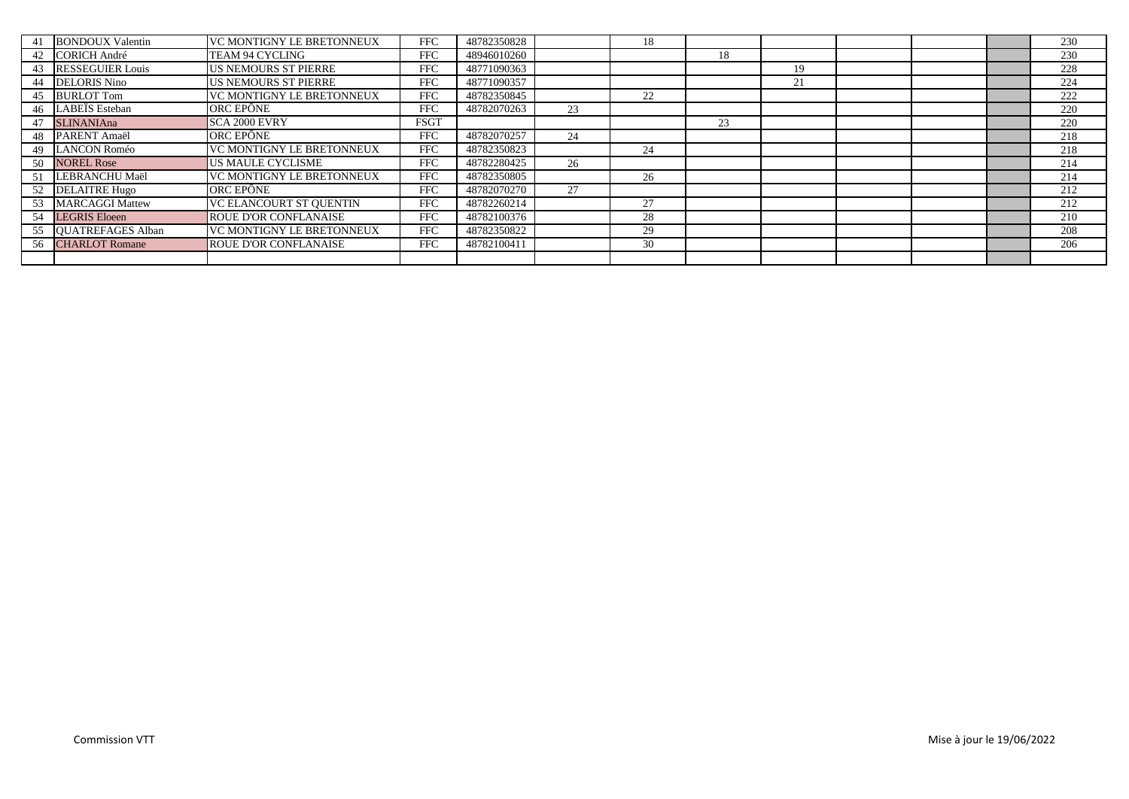|    | 41 BONDOUX Valentin     | VC MONTIGNY LE BRETONNEUX      | <b>FFC</b>  | 48782350828 |    | 18 |    |    |  | 230 |
|----|-------------------------|--------------------------------|-------------|-------------|----|----|----|----|--|-----|
|    | 42 CORICH André         | TEAM 94 CYCLING                | <b>FFC</b>  | 48946010260 |    |    | 18 |    |  | 230 |
| 43 | <b>RESSEGUIER Louis</b> | <b>US NEMOURS ST PIERRE</b>    | <b>FFC</b>  | 48771090363 |    |    |    | 19 |  | 228 |
| 44 | <b>DELORIS Nino</b>     | <b>US NEMOURS ST PIERRE</b>    | <b>FFC</b>  | 48771090357 |    |    |    | 21 |  | 224 |
| 45 | <b>BURLOT Tom</b>       | VC MONTIGNY LE BRETONNEUX      | <b>FFC</b>  | 48782350845 |    | 22 |    |    |  | 222 |
| 46 | LABEÏS Esteban          | ORC EPÔNE                      | <b>FFC</b>  | 48782070263 | 23 |    |    |    |  | 220 |
|    | 47 SLINANIAna           | <b>SCA 2000 EVRY</b>           | <b>FSGT</b> |             |    |    | 23 |    |  | 220 |
|    | 48 PARENT Amaël         | ORC EPÔNE                      | <b>FFC</b>  | 48782070257 | 24 |    |    |    |  | 218 |
|    | 49 LANCON Roméo         | VC MONTIGNY LE BRETONNEUX      | <b>FFC</b>  | 48782350823 |    | 24 |    |    |  | 218 |
|    | 50 NOREL Rose           | <b>US MAULE CYCLISME</b>       | <b>FFC</b>  | 48782280425 | 26 |    |    |    |  | 214 |
| 51 | LEBRANCHU Maël          | VC MONTIGNY LE BRETONNEUX      | <b>FFC</b>  | 48782350805 |    | 26 |    |    |  | 214 |
|    | 52 DELAITRE Hugo        | ORC EPÔNE                      | <b>FFC</b>  | 48782070270 | 27 |    |    |    |  | 212 |
|    | 53 MARCAGGI Mattew      | <b>VC ELANCOURT ST OUENTIN</b> | <b>FFC</b>  | 48782260214 |    | 27 |    |    |  | 212 |
|    | 54 LEGRIS Eloeen        | <b>ROUE D'OR CONFLANAISE</b>   | <b>FFC</b>  | 48782100376 |    | 28 |    |    |  | 210 |
|    | 55 QUATREFAGES Alban    | VC MONTIGNY LE BRETONNEUX      | <b>FFC</b>  | 48782350822 |    | 29 |    |    |  | 208 |
|    | 56 CHARLOT Romane       | <b>ROUE D'OR CONFLANAISE</b>   | <b>FFC</b>  | 48782100411 |    | 30 |    |    |  | 206 |
|    |                         |                                |             |             |    |    |    |    |  |     |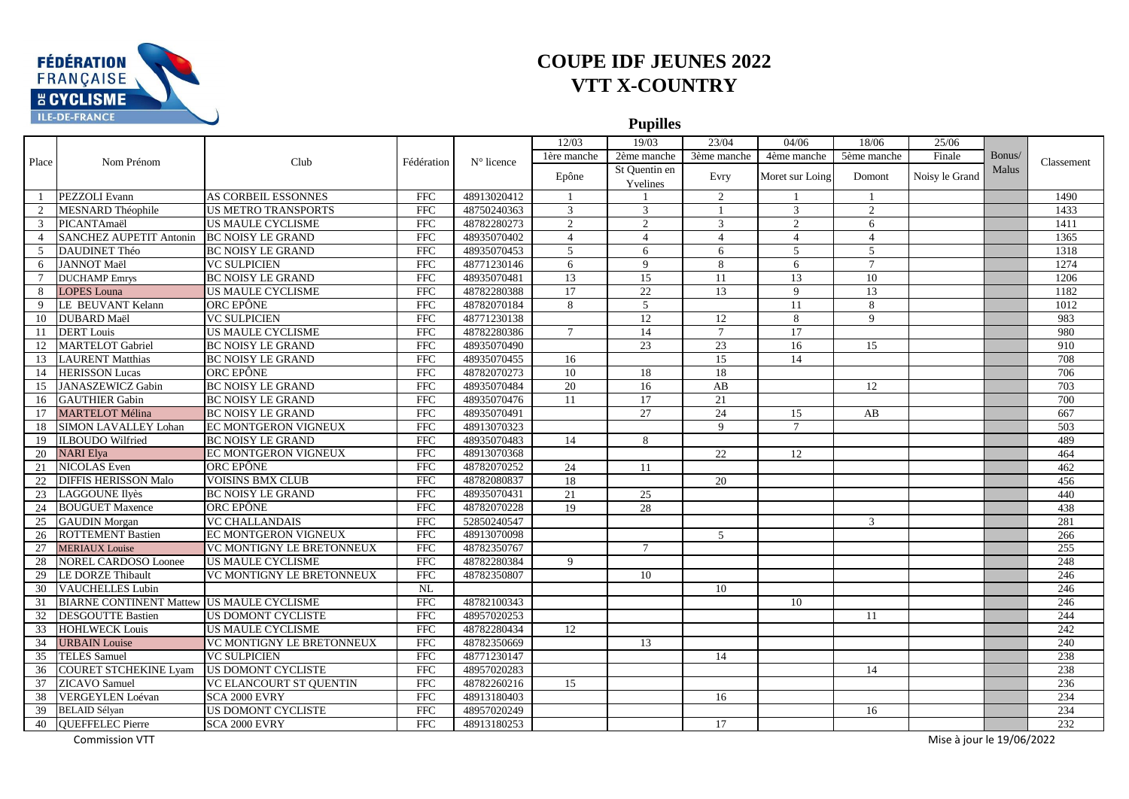

**Pupilles**

|                 |                                           |                             |                         | 12/03       | 19/03           | 23/04           | 04/06           | 18/06           | 25/06          |                           |        |                  |
|-----------------|-------------------------------------------|-----------------------------|-------------------------|-------------|-----------------|-----------------|-----------------|-----------------|----------------|---------------------------|--------|------------------|
|                 |                                           |                             |                         |             | 1ère manche     | 2ème manche     | 3ème manche     | 4ème manche     | 5ème manche    | Finale                    | Bonus/ |                  |
| Place           | Nom Prénom                                | Club                        | Fédération              | N° licence  | Epône           | St Quentin en   | Evry            | Moret sur Loing | Domont         | Noisy le Grand            | Malus  | Classement       |
|                 |                                           |                             |                         |             |                 | Yvelines        |                 |                 |                |                           |        |                  |
| $\overline{1}$  | PEZZOLI Evann                             | AS CORBEIL ESSONNES         | <b>FFC</b>              | 48913020412 | - 1             |                 | 2               | - 1             | $\overline{1}$ |                           |        | 1490             |
|                 | MESNARD Théophile                         | <b>US METRO TRANSPORTS</b>  | <b>FFC</b>              | 48750240363 | 3               | 3               | $\mathbf{1}$    | 3               | 2              |                           |        | 1433             |
| $\mathcal{R}$   | PICANTAmaël                               | <b>US MAULE CYCLISME</b>    | <b>FFC</b>              | 48782280273 | $\mathfrak{D}$  | $\mathcal{D}$   | 3               | $\mathfrak{D}$  | 6              |                           |        | 1411             |
| $\overline{4}$  | <b>SANCHEZ AUPETIT Antonin</b>            | <b>BC NOISY LE GRAND</b>    | FFC                     | 48935070402 | $\overline{4}$  | $\overline{4}$  | $\overline{4}$  | $\overline{4}$  | $\overline{4}$ |                           |        | 1365             |
| $\mathcal{F}$   | DAUDINET Théo                             | <b>BC NOISY LE GRAND</b>    | <b>FFC</b>              | 48935070453 | 5               | 6               | 6               | 5               | 5              |                           |        | 1318             |
| 6               | <b>JANNOT Maël</b>                        | <b>VC SULPICIEN</b>         | FFC                     | 48771230146 | 6               | 9               | 8               | 6               | $\overline{7}$ |                           |        | 1274             |
| $7\phantom{.0}$ | <b>DUCHAMP</b> Emrys                      | <b>BC NOISY LE GRAND</b>    | <b>FFC</b>              | 48935070481 | 13              | 15              | 11              | 13              | 10             |                           |        | 1206             |
| 8               | <b>LOPES Louna</b>                        | <b>US MAULE CYCLISME</b>    | <b>FFC</b>              | 48782280388 | 17              | 22              | 13              | 9               | 13             |                           |        | 1182             |
| 9               | LE BEUVANT Kelann                         | ORC EPÔNE                   | FFC                     | 48782070184 | 8               | 5               |                 | 11              | 8              |                           |        | 1012             |
|                 | 10 DUBARD Maël                            | <b>VC SULPICIEN</b>         | <b>FFC</b>              | 48771230138 |                 | 12              | 12              | 8               | $\mathbf{Q}$   |                           |        | 983              |
|                 | 11 <b>DERT</b> Louis                      | <b>US MAULE CYCLISME</b>    | $\overline{\text{FFC}}$ | 48782280386 | $7\phantom{.0}$ | 14              | $7\phantom{.0}$ | 17              |                |                           |        | 980              |
| 12              | <b>MARTELOT Gabriel</b>                   | <b>BC NOISY LE GRAND</b>    | <b>FFC</b>              | 48935070490 |                 | 23              | 23              | 16              | 15             |                           |        | 910              |
| 13              | <b>LAURENT Matthias</b>                   | <b>BC NOISY LE GRAND</b>    | <b>FFC</b>              | 48935070455 | 16              |                 | 15              | 14              |                |                           |        | 708              |
|                 | 14 HERISSON Lucas                         | ORC EPÔNE                   | <b>FFC</b>              | 48782070273 | 10              | 18              | 18              |                 |                |                           |        | 706              |
| 15              | <b>JANASZEWICZ Gabin</b>                  | <b>BC NOISY LE GRAND</b>    | <b>FFC</b>              | 48935070484 | 20              | 16              | AB              |                 | 12             |                           |        | 703              |
| 16              | <b>GAUTHIER Gabin</b>                     | <b>BC NOISY LE GRAND</b>    | $\overline{\text{FFC}}$ | 48935070476 | 11              | $\overline{17}$ | 21              |                 |                |                           |        | $\overline{700}$ |
| 17              | <b>MARTELOT Mélina</b>                    | <b>BC NOISY LE GRAND</b>    | <b>FFC</b>              | 48935070491 |                 | 27              | 24              | 15              | AB             |                           |        | 667              |
| 18              | <b>SIMON LAVALLEY Lohan</b>               | <b>EC MONTGERON VIGNEUX</b> | <b>FFC</b>              | 48913070323 |                 |                 | $\mathbf{q}$    | $\tau$          |                |                           |        | 503              |
| 19              | <b>ILBOUDO</b> Wilfried                   | <b>BC NOISY LE GRAND</b>    | <b>FFC</b>              | 48935070483 | 14              | 8               |                 |                 |                |                           |        | 489              |
| 20              | <b>NARI</b> Elya                          | EC MONTGERON VIGNEUX        | <b>FFC</b>              | 48913070368 |                 |                 | 22              | 12              |                |                           |        | 464              |
| 21              | <b>NICOLAS</b> Even                       | ORC EPÔNE                   | <b>FFC</b>              | 48782070252 | 24              | 11              |                 |                 |                |                           |        | 462              |
| 22              | <b>DIFFIS HERISSON Malo</b>               | <b>VOISINS BMX CLUB</b>     | <b>FFC</b>              | 48782080837 | 18              |                 | 20              |                 |                |                           |        | 456              |
|                 | 23 LAGGOUNE Ilyès                         | <b>BC NOISY LE GRAND</b>    | <b>FFC</b>              | 48935070431 | 21              | 25              |                 |                 |                |                           |        | 440              |
| 24              | <b>BOUGUET Maxence</b>                    | ORC EPÔNE                   | <b>FFC</b>              | 48782070228 | 19              | 28              |                 |                 |                |                           |        | 438              |
| 25              | <b>GAUDIN</b> Morgan                      | <b>VC CHALLANDAIS</b>       | <b>FFC</b>              | 52850240547 |                 |                 |                 |                 | 3              |                           |        | 281              |
| 26              | <b>ROTTEMENT Bastien</b>                  | EC MONTGERON VIGNEUX        | FFC                     | 48913070098 |                 |                 | $\mathfrak{F}$  |                 |                |                           |        | 266              |
| 27              | <b>MERIAUX</b> Louise                     | VC MONTIGNY LE BRETONNEUX   | <b>FFC</b>              | 48782350767 |                 | $\tau$          |                 |                 |                |                           |        | 255              |
| 28              | <b>NOREL CARDOSO Loonee</b>               | <b>US MAULE CYCLISME</b>    | <b>FFC</b>              | 48782280384 | 9               |                 |                 |                 |                |                           |        | 248              |
| 29              | LE DORZE Thibault                         | VC MONTIGNY LE BRETONNEUX   | <b>FFC</b>              | 48782350807 |                 | 10              |                 |                 |                |                           |        | 246              |
|                 | 30 VAUCHELLES Lubin                       |                             | NL                      |             |                 |                 | 10              |                 |                |                           |        | 246              |
| 31              | BIARNE CONTINENT Mattew US MAULE CYCLISME |                             | <b>FFC</b>              | 48782100343 |                 |                 |                 | 10              |                |                           |        | 246              |
| 32              | <b>DESGOUTTE Bastien</b>                  | <b>US DOMONT CYCLISTE</b>   | <b>FFC</b>              | 48957020253 |                 |                 |                 |                 | 11             |                           |        | 244              |
|                 | 33 HOHLWECK Louis                         | <b>US MAULE CYCLISME</b>    | <b>FFC</b>              | 48782280434 | 12              |                 |                 |                 |                |                           |        | 242              |
| 34              | <b>URBAIN</b> Louise                      | VC MONTIGNY LE BRETONNEUX   | <b>FFC</b>              | 48782350669 |                 | 13              |                 |                 |                |                           |        | 240              |
| 35              | <b>TELES Samuel</b>                       | <b>VC SULPICIEN</b>         | FFC                     | 48771230147 |                 |                 | 14              |                 |                |                           |        | 238              |
| 36              | <b>COURET STCHEKINE Lyam</b>              | <b>US DOMONT CYCLISTE</b>   | FFC                     | 48957020283 |                 |                 |                 |                 | 14             |                           |        | 238              |
| 37              | <b>ZICAVO</b> Samuel                      | VC ELANCOURT ST QUENTIN     | <b>FFC</b>              | 48782260216 | 15              |                 |                 |                 |                |                           |        | 236              |
| 38              | <b>VERGEYLEN Loévan</b>                   | SCA 2000 EVRY               | <b>FFC</b>              | 48913180403 |                 |                 | 16              |                 |                |                           |        | 234              |
| 39              | <b>BELAID Sélyan</b>                      | <b>US DOMONT CYCLISTE</b>   | <b>FFC</b>              | 48957020249 |                 |                 |                 |                 | 16             |                           |        | 234              |
| 40              | <b>OUEFFELEC Pierre</b>                   | <b>SCA 2000 EVRY</b>        | <b>FFC</b>              | 48913180253 |                 |                 | 17              |                 |                |                           |        | 232              |
|                 | <b>Commission VTT</b>                     |                             |                         |             |                 |                 |                 |                 |                | Mise à jour le 19/06/2022 |        |                  |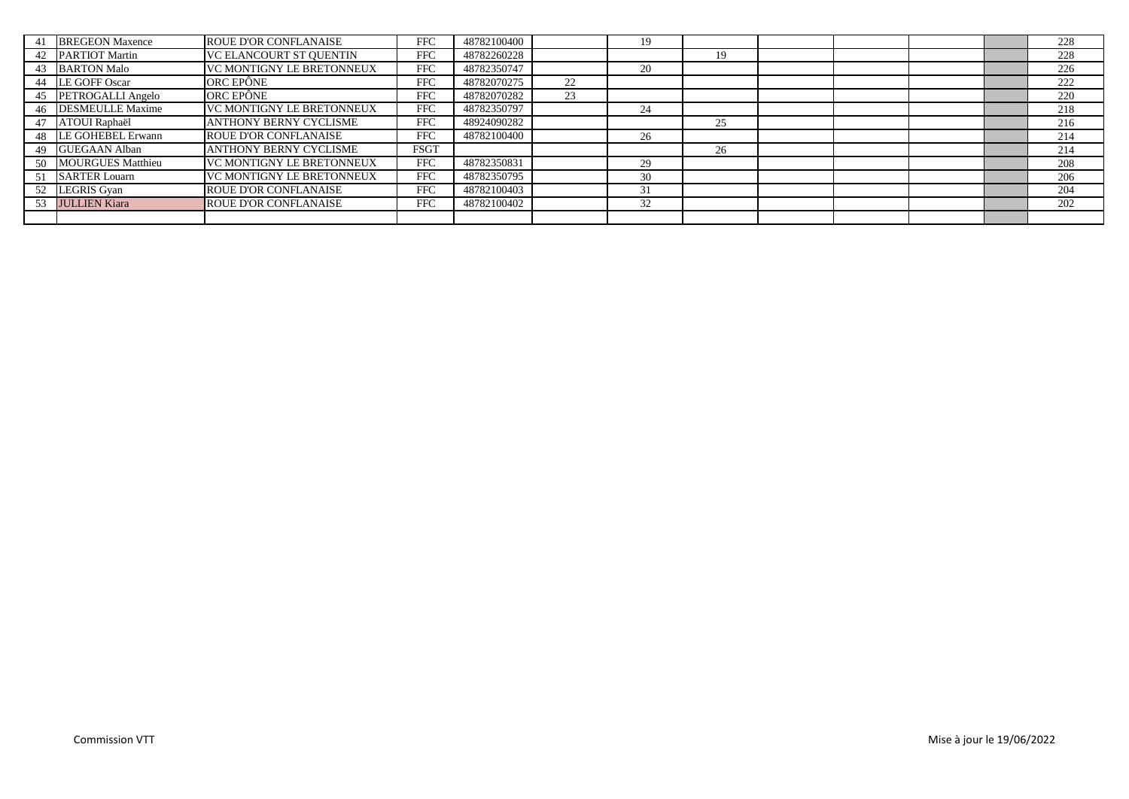|    | <b>BREGEON Maxence</b> | <b>ROUE D'OR CONFLANAISE</b>     | <b>FFC</b>  | 48782100400 |    |    |    |  |  | 228 |
|----|------------------------|----------------------------------|-------------|-------------|----|----|----|--|--|-----|
|    | 42 PARTIOT Martin      | <b>VC ELANCOURT ST OUENTIN</b>   | <b>FFC</b>  | 48782260228 |    |    | 19 |  |  | 228 |
|    | 43 BARTON Malo         | <b>VC MONTIGNY LE BRETONNEUX</b> | <b>FFC</b>  | 48782350747 |    | 20 |    |  |  | 226 |
|    | 44 LE GOFF Oscar       | ORC EPÔNE                        | <b>FFC</b>  | 48782070275 | 22 |    |    |  |  | 222 |
|    | 45 PETROGALLI Angelo   | ORC EPÔNE                        | <b>FFC</b>  | 48782070282 | 23 |    |    |  |  | 220 |
|    | 46 DESMEULLE Maxime    | VC MONTIGNY LE BRETONNEUX        | <b>FFC</b>  | 48782350797 |    | 24 |    |  |  | 218 |
| 47 | ATOUI Raphaël          | <b>ANTHONY BERNY CYCLISME</b>    | <b>FFC</b>  | 48924090282 |    |    | 25 |  |  | 216 |
|    | 48 LE GOHEBEL Erwann   | <b>ROUE D'OR CONFLANAISE</b>     | <b>FFC</b>  | 48782100400 |    | 26 |    |  |  | 214 |
| 49 | <b>GUEGAAN Alban</b>   | <b>ANTHONY BERNY CYCLISME</b>    | <b>FSGT</b> |             |    |    | 26 |  |  | 214 |
|    | 50 MOURGUES Matthieu   | VC MONTIGNY LE BRETONNEUX        | FFC         | 48782350831 |    | 29 |    |  |  | 208 |
|    | 51 SARTER Louarn       | <b>VC MONTIGNY LE BRETONNEUX</b> | <b>FFC</b>  | 48782350795 |    | 30 |    |  |  | 206 |
|    | 52 LEGRIS Gyan         | <b>ROUE D'OR CONFLANAISE</b>     | <b>FFC</b>  | 48782100403 |    |    |    |  |  | 204 |
|    | 53 JULLIEN Kiara       | <b>ROUE D'OR CONFLANAISE</b>     | <b>FFC</b>  | 48782100402 |    | 32 |    |  |  | 202 |
|    |                        |                                  |             |             |    |    |    |  |  |     |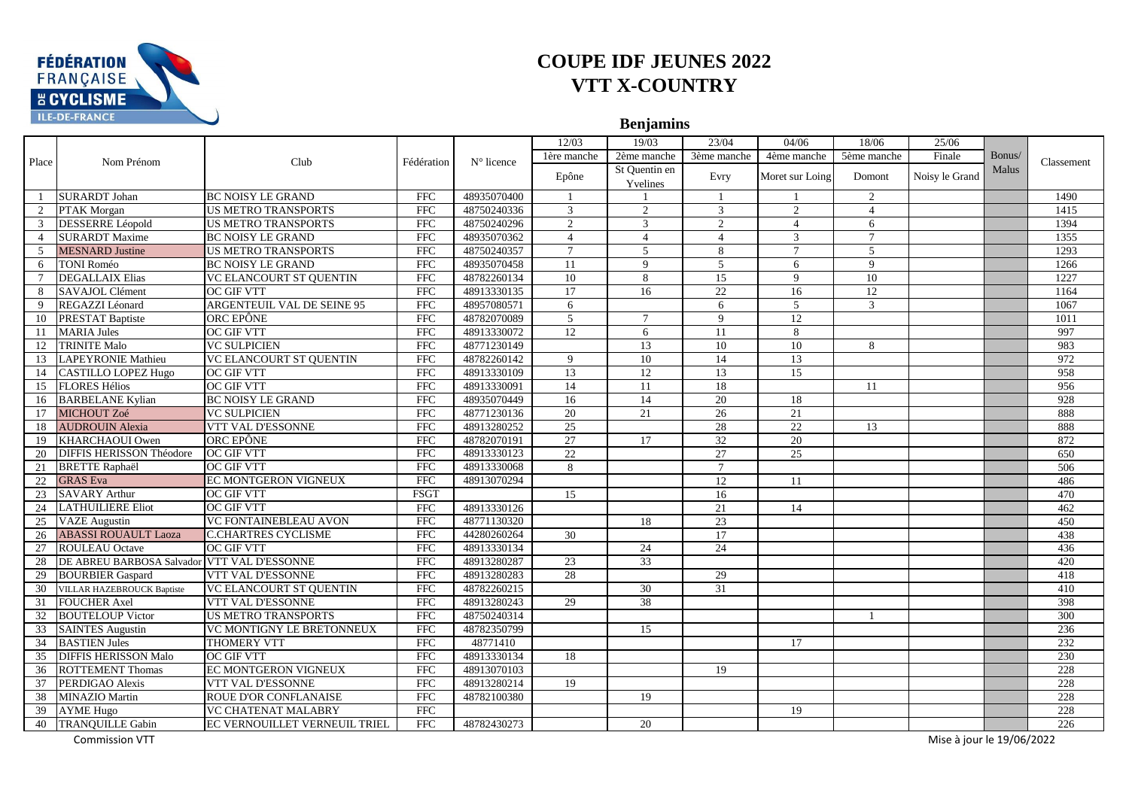

**Benjamins**

|                |                                             |                                |                         |                     | 12/03           | 19/03                     | 23/04                       | 04/06           | 18/06        | 25/06                     |        |            |
|----------------|---------------------------------------------|--------------------------------|-------------------------|---------------------|-----------------|---------------------------|-----------------------------|-----------------|--------------|---------------------------|--------|------------|
|                |                                             |                                |                         | $N^{\circ}$ licence | 1ère manche     | 2ème manche               | 3ème manche                 | 4ème manche     | 5ème manche  | Finale                    | Bonus/ |            |
| Place          | Nom Prénom                                  | Club                           | Fédération              |                     | Epône           | St Quentin en<br>Yvelines | Evry                        | Moret sur Loing | Domont       | Noisy le Grand            | Malus  | Classement |
|                | <b>SURARDT</b> Johan                        | <b>BC NOISY LE GRAND</b>       | <b>FFC</b>              | 48935070400         | $\overline{1}$  |                           | $\overline{1}$              | $\overline{1}$  | 2            |                           |        | 1490       |
|                | PTAK Morgan                                 | <b>US METRO TRANSPORTS</b>     | ${\rm FFC}$             | 48750240336         | 3               | 2                         | 3                           | 2               | 4            |                           |        | 1415       |
| 3              | <b>DESSERRE</b> Léopold                     | <b>US METRO TRANSPORTS</b>     | <b>FFC</b>              | 48750240296         | $\mathfrak{D}$  | 3                         | $\mathcal{D}_{\mathcal{L}}$ | $\overline{4}$  | 6            |                           |        | 1394       |
| $\overline{4}$ | <b>SURARDT Maxime</b>                       | <b>BC NOISY LE GRAND</b>       | <b>FFC</b>              | 48935070362         | $\overline{4}$  | $\overline{4}$            | $\overline{4}$              | 3               | $\tau$       |                           |        | 1355       |
| 5              | <b>MESNARD</b> Justine                      | <b>US METRO TRANSPORTS</b>     | <b>FFC</b>              | 48750240357         | $7\phantom{.0}$ | 5                         | 8                           | $\tau$          | 5            |                           |        | 1293       |
| 6              | TONI Roméo                                  | <b>BC NOISY LE GRAND</b>       | FFC                     | 48935070458         | 11              | 9                         | $\mathfrak{F}$              | 6               | $\mathbf{Q}$ |                           |        | 1266       |
| 7              | <b>DEGALLAIX Elias</b>                      | VC ELANCOURT ST QUENTIN        | <b>FFC</b>              | 48782260134         | 10              | 8                         | 15                          | 9               | 10           |                           |        | 1227       |
| 8              | SAVAJOL Clément                             | <b>OC GIF VTT</b>              | <b>FFC</b>              | 48913330135         | 17              | 16                        | 22                          | 16              | 12           |                           |        | 1164       |
| 9              | REGAZZI Léonard                             | ARGENTEUIL VAL DE SEINE 95     | <b>FFC</b>              | 48957080571         | 6               |                           | 6                           | 5               | 3            |                           |        | 1067       |
| 10             | <b>PRESTAT Baptiste</b>                     | ORC EPÔNE                      | FFC                     | 48782070089         | 5               | $\tau$                    | 9                           | 12              |              |                           |        | 1011       |
|                | 11 MARIA Jules                              | <b>OC GIF VTT</b>              | $\overline{\text{FFC}}$ | 48913330072         | $\overline{12}$ | 6                         | 11                          | 8               |              |                           |        | 997        |
| 12             | <b>TRINITE Malo</b>                         | <b>VC SULPICIEN</b>            | <b>FFC</b>              | 48771230149         |                 | 13                        | 10                          | 10              | 8            |                           |        | 983        |
| 13             | <b>LAPEYRONIE Mathieu</b>                   | <b>VC ELANCOURT ST QUENTIN</b> | <b>FFC</b>              | 48782260142         | $\mathbf{Q}$    | 10                        | 14                          | 13              |              |                           |        | 972        |
|                | 14 CASTILLO LOPEZ Hugo                      | OC GIF VTT                     | FFC                     | 48913330109         | 13              | 12                        | 13                          | 15              |              |                           |        | 958        |
|                | 15 FLORES Hélios                            | <b>OC GIF VTT</b>              | <b>FFC</b>              | 48913330091         | 14              | 11                        | 18                          |                 | 11           |                           |        | 956        |
| 16             | <b>BARBELANE Kylian</b>                     | <b>BC NOISY LE GRAND</b>       | FFC                     | 48935070449         | $\overline{16}$ | $\overline{14}$           | $\overline{20}$             | 18              |              |                           |        | 928        |
| 17             | MICHOUT Zoé                                 | <b>VC SULPICIEN</b>            | <b>FFC</b>              | 48771230136         | 20              | 21                        | 26                          | 21              |              |                           |        | 888        |
| 18             | <b>AUDROUIN Alexia</b>                      | VTT VAL D'ESSONNE              | <b>FFC</b>              | 48913280252         | 25              |                           | 28                          | $\overline{22}$ | 13           |                           |        | 888        |
| 19             | KHARCHAOUI Owen                             | ORC EPÔNE                      | <b>FFC</b>              | 48782070191         | $\overline{27}$ | 17                        | 32                          | 20              |              |                           |        | 872        |
| 20             | <b>DIFFIS HERISSON Théodore</b>             | <b>OC GIF VTT</b>              | <b>FFC</b>              | 48913330123         | 22              |                           | 27                          | 25              |              |                           |        | 650        |
| 21             | <b>BRETTE Raphaël</b>                       | <b>OC GIF VTT</b>              | <b>FFC</b>              | 48913330068         | 8               |                           | $\overline{7}$              |                 |              |                           |        | 506        |
| 22             | <b>GRAS</b> Eva                             | <b>EC MONTGERON VIGNEUX</b>    | <b>FFC</b>              | 48913070294         |                 |                           | 12                          | 11              |              |                           |        | 486        |
| 23             | <b>SAVARY Arthur</b>                        | <b>OC GIF VTT</b>              | <b>FSGT</b>             |                     | 15              |                           | 16                          |                 |              |                           |        | 470        |
| 24             | <b>LATHUILIERE Eliot</b>                    | <b>OC GIF VTT</b>              | <b>FFC</b>              | 48913330126         |                 |                           | $\overline{21}$             | 14              |              |                           |        | 462        |
| 25             | <b>VAZE</b> Augustin                        | <b>VC FONTAINEBLEAU AVON</b>   | <b>FFC</b>              | 48771130320         |                 | 18                        | 23                          |                 |              |                           |        | 450        |
| 26             | <b>ABASSI ROUAULT Laoza</b>                 | <b>C.CHARTRES CYCLISME</b>     | FFC                     | 44280260264         | 30              |                           | 17                          |                 |              |                           |        | 438        |
| 27             | <b>ROULEAU</b> Octave                       | <b>OC GIF VTT</b>              | <b>FFC</b>              | 48913330134         |                 | 24                        | 24                          |                 |              |                           |        | 436        |
| 28             | DE ABREU BARBOSA Salvador VTT VAL D'ESSONNE |                                | <b>FFC</b>              | 48913280287         | 23              | $\overline{33}$           |                             |                 |              |                           |        | 420        |
| 29             | <b>BOURBIER Gaspard</b>                     | VTT VAL D'ESSONNE              | <b>FFC</b>              | 48913280283         | 28              |                           | 29                          |                 |              |                           |        | 418        |
|                | 30 VILLAR HAZEBROUCK Baptiste               | <b>VC ELANCOURT ST OUENTIN</b> | <b>FFC</b>              | 48782260215         |                 | 30                        | 31                          |                 |              |                           |        | 410        |
| 31             | <b>FOUCHER</b> Axel                         | VTT VAL D'ESSONNE              | <b>FFC</b>              | 48913280243         | 29              | 38                        |                             |                 |              |                           |        | 398        |
| 32             | <b>BOUTELOUP Victor</b>                     | <b>US METRO TRANSPORTS</b>     | <b>FFC</b>              | 48750240314         |                 |                           |                             |                 |              |                           |        | 300        |
|                | 33 SAINTES Augustin                         | VC MONTIGNY LE BRETONNEUX      | FFC                     | 48782350799         |                 | 15                        |                             |                 |              |                           |        | 236        |
| 34             | <b>BASTIEN Jules</b>                        | <b>THOMERY VTT</b>             | <b>FFC</b>              | 48771410            |                 |                           |                             | 17              |              |                           |        | 232        |
| 35             | <b>DIFFIS HERISSON Malo</b>                 | <b>OC GIF VTT</b>              | <b>FFC</b>              | 48913330134         | 18              |                           |                             |                 |              |                           |        | 230        |
| 36             | <b>ROTTEMENT Thomas</b>                     | EC MONTGERON VIGNEUX           | FFC                     | 48913070103         |                 |                           | 19                          |                 |              |                           |        | 228        |
| 37             | PERDIGAO Alexis                             | VTT VAL D'ESSONNE              | <b>FFC</b>              | 48913280214         | 19              |                           |                             |                 |              |                           |        | 228        |
| 38             | <b>MINAZIO Martin</b>                       | <b>ROUE D'OR CONFLANAISE</b>   | <b>FFC</b>              | 48782100380         |                 | 19                        |                             |                 |              |                           |        | 228        |
|                | 39 AYME Hugo                                | <b>VC CHATENAT MALABRY</b>     | <b>FFC</b>              |                     |                 |                           |                             | 19              |              |                           |        | 228        |
| 40             | <b>TRANQUILLE Gabin</b>                     | EC VERNOUILLET VERNEUIL TRIEL  | <b>FFC</b>              | 48782430273         |                 | 20                        |                             |                 |              |                           |        | 226        |
|                | <b>Commission VTT</b>                       |                                |                         |                     |                 |                           |                             |                 |              | Mise à jour le 19/06/2022 |        |            |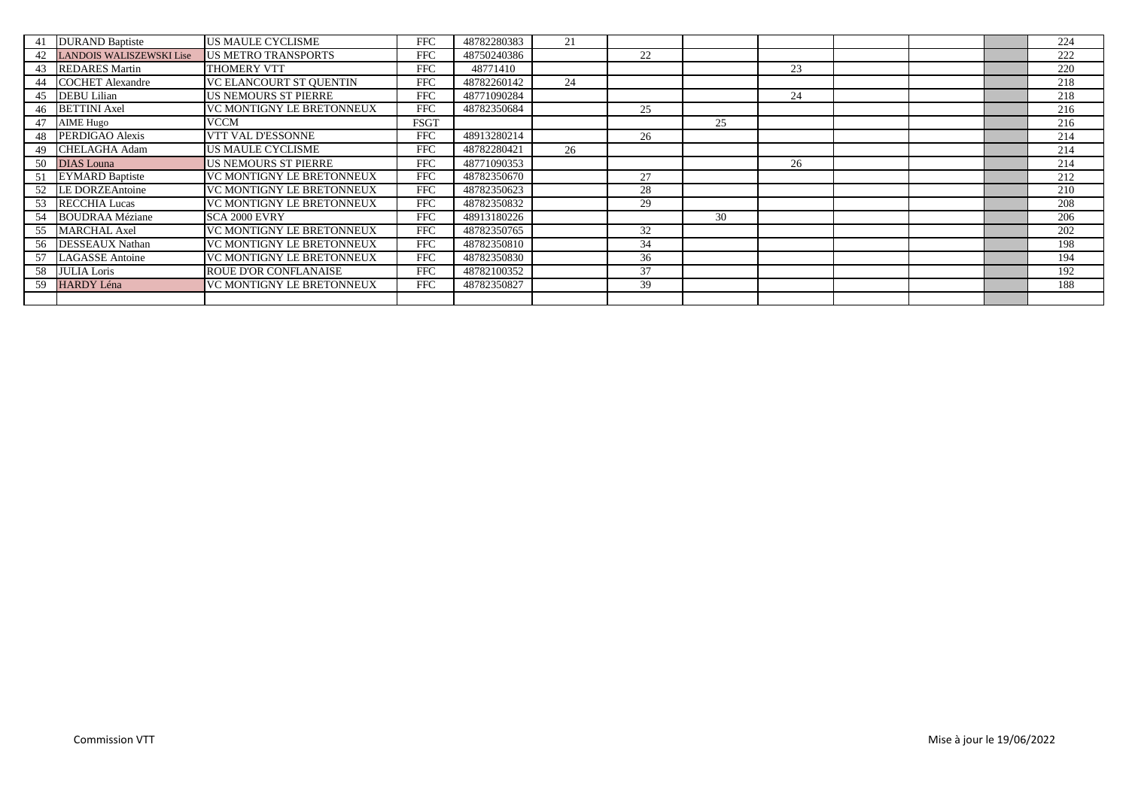| 41  | <b>DURAND Baptiste</b>          | <b>US MAULE CYCLISME</b>         | <b>FFC</b>  | 48782280383 | 21 |    |    |    |  | 224 |
|-----|---------------------------------|----------------------------------|-------------|-------------|----|----|----|----|--|-----|
| 42  | <b>LANDOIS WALISZEWSKI Lise</b> | <b>US METRO TRANSPORTS</b>       | <b>FFC</b>  | 48750240386 |    | 22 |    |    |  | 222 |
|     | 43 REDARES Martin               | <b>THOMERY VTT</b>               | <b>FFC</b>  | 48771410    |    |    |    | 23 |  | 220 |
| 44  | <b>COCHET Alexandre</b>         | <b>VC ELANCOURT ST OUENTIN</b>   | <b>FFC</b>  | 48782260142 | 24 |    |    |    |  | 218 |
|     | <b>DEBU</b> Lilian              | <b>US NEMOURS ST PIERRE</b>      | <b>FFC</b>  | 48771090284 |    |    |    | 24 |  | 218 |
| 46  | <b>BETTINI</b> Axel             | VC MONTIGNY LE BRETONNEUX        | <b>FFC</b>  | 48782350684 |    | 25 |    |    |  | 216 |
| 47  | <b>AIME Hugo</b>                | VCCM                             | <b>FSGT</b> |             |    |    | 25 |    |  | 216 |
| 48  | PERDIGAO Alexis                 | <b>VTT VAL D'ESSONNE</b>         | <b>FFC</b>  | 48913280214 |    | 26 |    |    |  | 214 |
| 49  | <b>CHELAGHA Adam</b>            | <b>US MAULE CYCLISME</b>         | <b>FFC</b>  | 48782280421 | 26 |    |    |    |  | 214 |
| 50  | <b>DIAS</b> Louna               | <b>US NEMOURS ST PIERRE</b>      | <b>FFC</b>  | 48771090353 |    |    |    | 26 |  | 214 |
| 51  | <b>EYMARD Baptiste</b>          | <b>VC MONTIGNY LE BRETONNEUX</b> | <b>FFC</b>  | 48782350670 |    | 27 |    |    |  | 212 |
| 52  | <b>LE DORZEAntoine</b>          | VC MONTIGNY LE BRETONNEUX        | <b>FFC</b>  | 48782350623 |    | 28 |    |    |  | 210 |
| 53  | <b>RECCHIA Lucas</b>            | VC MONTIGNY LE BRETONNEUX        | <b>FFC</b>  | 48782350832 |    | 29 |    |    |  | 208 |
| 54  | <b>BOUDRAA Méziane</b>          | SCA 2000 EVRY                    | <b>FFC</b>  | 48913180226 |    |    | 30 |    |  | 206 |
| 55  | <b>MARCHAL Axel</b>             | VC MONTIGNY LE BRETONNEUX        | <b>FFC</b>  | 48782350765 |    | 32 |    |    |  | 202 |
| 56  | <b>DESSEAUX Nathan</b>          | <b>VC MONTIGNY LE BRETONNEUX</b> | <b>FFC</b>  | 48782350810 |    | 34 |    |    |  | 198 |
| 57  | <b>LAGASSE</b> Antoine          | <b>VC MONTIGNY LE BRETONNEUX</b> | <b>FFC</b>  | 48782350830 |    | 36 |    |    |  | 194 |
|     | 58 JULIA Loris                  | <b>ROUE D'OR CONFLANAISE</b>     | <b>FFC</b>  | 48782100352 |    | 37 |    |    |  | 192 |
| 59. | <b>HARDY Léna</b>               | VC MONTIGNY LE BRETONNEUX        | <b>FFC</b>  | 48782350827 |    | 39 |    |    |  | 188 |
|     |                                 |                                  |             |             |    |    |    |    |  |     |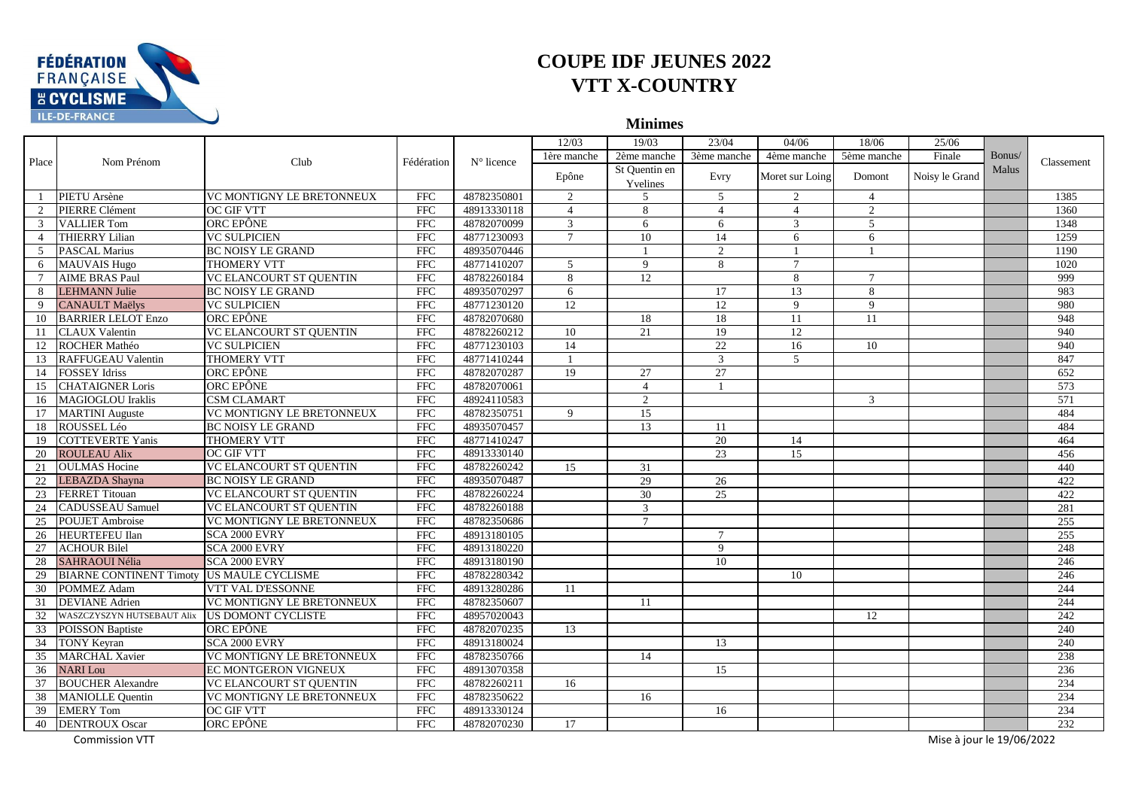

**Minimes**

|                             |                                |                                |                         |                     | 12/03          | 19/03          | 23/04           | 04/06           | 18/06          | 25/06                     |        |            |
|-----------------------------|--------------------------------|--------------------------------|-------------------------|---------------------|----------------|----------------|-----------------|-----------------|----------------|---------------------------|--------|------------|
| Place                       | Nom Prénom                     | Club                           | Fédération              | $N^{\circ}$ licence | 1ère manche    | 2ème manche    | 3ème manche     | 4ème manche     | 5ème manche    | Finale                    | Bonus/ | Classement |
|                             |                                |                                |                         |                     | Epône          | St Quentin en  | Evry            | Moret sur Loing | Domont         | Noisy le Grand            | Malus  |            |
|                             |                                |                                |                         |                     |                | Yvelines       |                 |                 |                |                           |        |            |
| $\overline{1}$              | PIETU Arsène                   | VC MONTIGNY LE BRETONNEUX      | <b>FFC</b>              | 48782350801         | 2              | 5              | 5               | 2               | $\overline{4}$ |                           |        | 1385       |
| $\mathcal{D}_{\mathcal{L}}$ | PIERRE Clément                 | OC GIF VTT                     | <b>FFC</b>              | 48913330118         | $\overline{4}$ | 8              | $\overline{4}$  | $\overline{4}$  | 2              |                           |        | 1360       |
| 3                           | <b>VALLIER Tom</b>             | ORC EPÔNE                      | <b>FFC</b>              | 48782070099         | 3              | 6              | 6               | 3               | $\mathfrak{F}$ |                           |        | 1348       |
| $\overline{4}$              | <b>THIERRY Lilian</b>          | <b>VC SULPICIEN</b>            | <b>FFC</b>              | 48771230093         | $\overline{7}$ | 10             | 14              | 6               | 6              |                           |        | 1259       |
| $\overline{5}$              | <b>PASCAL Marius</b>           | <b>BC NOISY LE GRAND</b>       | <b>FFC</b>              | 48935070446         |                |                | $\overline{2}$  |                 | $\blacksquare$ |                           |        | 1190       |
| 6                           | <b>MAUVAIS Hugo</b>            | THOMERY VTT                    | <b>FFC</b>              | 48771410207         | $\overline{5}$ | 9              | 8               | $\overline{7}$  |                |                           |        | 1020       |
| $\tau$                      | <b>AIME BRAS Paul</b>          | VC ELANCOURT ST QUENTIN        | <b>FFC</b>              | 48782260184         | 8              | 12             |                 | 8               | $\tau$         |                           |        | 999        |
| 8                           | <b>LEHMANN Julie</b>           | <b>BC NOISY LE GRAND</b>       | <b>FFC</b>              | 48935070297         | 6              |                | 17              | 13              | 8              |                           |        | 983        |
| 9                           | <b>CANAULT Maëlys</b>          | <b>VC SULPICIEN</b>            | FFC                     | 48771230120         | 12             |                | $\overline{12}$ | 9               | $\mathbf{Q}$   |                           |        | 980        |
| 10                          | <b>BARRIER LELOT Enzo</b>      | ORC EPÔNE                      | <b>FFC</b>              | 48782070680         |                | 18             | 18              | 11              | 11             |                           |        | 948        |
| -11                         | <b>CLAUX Valentin</b>          | <b>VC ELANCOURT ST QUENTIN</b> | $\overline{\text{FFC}}$ | 48782260212         | 10             | 21             | 19              | 12              |                |                           |        | 940        |
| 12                          | ROCHER Mathéo                  | <b>VC SULPICIEN</b>            | <b>FFC</b>              | 48771230103         | 14             |                | $\overline{22}$ | 16              | 10             |                           |        | 940        |
| 13                          | <b>RAFFUGEAU Valentin</b>      | <b>THOMERY VTT</b>             | <b>FFC</b>              | 48771410244         |                |                | $\mathbf{3}$    | $\mathfrak{F}$  |                |                           |        | 847        |
|                             | 14 FOSSEY Idriss               | ORC EPÔNE                      | FFC                     | 48782070287         | 19             | 27             | 27              |                 |                |                           |        | 652        |
| 15                          | <b>CHATAIGNER Loris</b>        | ORC EPÔNE                      | <b>FFC</b>              | 48782070061         |                | $\overline{4}$ |                 |                 |                |                           |        | 573        |
| 16                          | <b>MAGIOGLOU</b> Iraklis       | <b>CSM CLAMART</b>             | <b>FFC</b>              | 48924110583         |                | $\overline{2}$ |                 |                 | 3              |                           |        | 571        |
|                             | 17 MARTINI Auguste             | VC MONTIGNY LE BRETONNEUX      | FFC                     | 48782350751         | 9              | 15             |                 |                 |                |                           |        | 484        |
| 18                          | ROUSSEL Léo                    | <b>BC NOISY LE GRAND</b>       | <b>FFC</b>              | 48935070457         |                | 13             | 11              |                 |                |                           |        | 484        |
| 19                          | <b>COTTEVERTE Yanis</b>        | <b>THOMERY VTT</b>             | <b>FFC</b>              | 48771410247         |                |                | 20              | 14              |                |                           |        | 464        |
| 20                          | <b>ROULEAU Alix</b>            | OC GIF VTT                     | FFC                     | 48913330140         |                |                | 23              | 15              |                |                           |        | 456        |
| 21                          | <b>OULMAS</b> Hocine           | <b>VC ELANCOURT ST QUENTIN</b> | <b>FFC</b>              | 48782260242         | 15             | 31             |                 |                 |                |                           |        | 440        |
| 22                          | LEBAZDA Shayna                 | <b>BC NOISY LE GRAND</b>       | <b>FFC</b>              | 48935070487         |                | 29             | 26              |                 |                |                           |        | 422        |
| 23                          | <b>FERRET Titouan</b>          | VC ELANCOURT ST QUENTIN        | <b>FFC</b>              | 48782260224         |                | 30             | $\overline{25}$ |                 |                |                           |        | 422        |
| 24                          | <b>CADUSSEAU Samuel</b>        | <b>VC ELANCOURT ST QUENTIN</b> | FFC                     | 48782260188         |                | 3              |                 |                 |                |                           |        | 281        |
| 25                          | <b>POUJET</b> Ambroise         | VC MONTIGNY LE BRETONNEUX      | <b>FFC</b>              | 48782350686         |                | $\tau$         |                 |                 |                |                           |        | 255        |
| 26                          | <b>HEURTEFEU Ilan</b>          | SCA 2000 EVRY                  | <b>FFC</b>              | 48913180105         |                |                | $\tau$          |                 |                |                           |        | 255        |
| 27                          | <b>ACHOUR Bilel</b>            | SCA 2000 EVRY                  | $\overline{\text{FFC}}$ | 48913180220         |                |                | 9               |                 |                |                           |        | 248        |
| 28                          | <b>SAHRAOUI Nélia</b>          | SCA 2000 EVRY                  | <b>FFC</b>              | 48913180190         |                |                | 10              |                 |                |                           |        | 246        |
| 29                          | <b>BIARNE CONTINENT Timoty</b> | <b>US MAULE CYCLISME</b>       | <b>FFC</b>              | 48782280342         |                |                |                 | 10              |                |                           |        | 246        |
|                             | 30 POMMEZ Adam                 | VTT VAL D'ESSONNE              | <b>FFC</b>              | 48913280286         | 11             |                |                 |                 |                |                           |        | 244        |
| 31                          | <b>DEVIANE</b> Adrien          | VC MONTIGNY LE BRETONNEUX      | <b>FFC</b>              | 48782350607         |                | 11             |                 |                 |                |                           |        | 244        |
| 32                          | WASZCZYSZYN HUTSEBAUT Alix     | <b>US DOMONT CYCLISTE</b>      | <b>FFC</b>              | 48957020043         |                |                |                 |                 | 12             |                           |        | 242        |
|                             | 33 POISSON Baptiste            | ORC EPÔNE                      | <b>FFC</b>              | 48782070235         | 13             |                |                 |                 |                |                           |        | 240        |
|                             | 34 TONY Keyran                 | SCA 2000 EVRY                  | <b>FFC</b>              | 48913180024         |                |                | 13              |                 |                |                           |        | 240        |
| 35                          | <b>MARCHAL Xavier</b>          | VC MONTIGNY LE BRETONNEUX      | <b>FFC</b>              | 48782350766         |                | 14             |                 |                 |                |                           |        | 238        |
|                             | 36 NARI Lou                    | EC MONTGERON VIGNEUX           | FFC                     | 48913070358         |                |                | 15              |                 |                |                           |        | 236        |
| 37                          | <b>BOUCHER Alexandre</b>       | VC ELANCOURT ST QUENTIN        | <b>FFC</b>              | 48782260211         | 16             |                |                 |                 |                |                           |        | 234        |
| 38                          | <b>MANIOLLE Quentin</b>        | VC MONTIGNY LE BRETONNEUX      | <b>FFC</b>              | 48782350622         |                | 16             |                 |                 |                |                           |        | 234        |
|                             | 39 EMERY Tom                   | <b>OC GIF VTT</b>              | <b>FFC</b>              | 48913330124         |                |                | 16              |                 |                |                           |        | 234        |
| 40                          | <b>DENTROUX Oscar</b>          | ORC EPÔNE                      | <b>FFC</b>              | 48782070230         | 17             |                |                 |                 |                |                           |        | 232        |
|                             | <b>Commission VTT</b>          |                                |                         |                     |                |                |                 |                 |                | Mise à jour le 19/06/2022 |        |            |